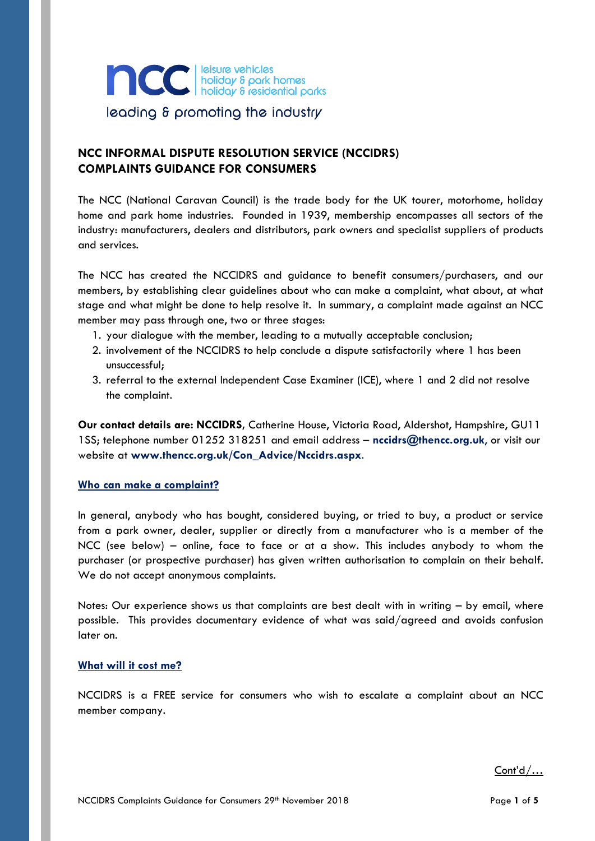

# **NCC INFORMAL DISPUTE RESOLUTION SERVICE (NCCIDRS) COMPLAINTS GUIDANCE FOR CONSUMERS**

The NCC (National Caravan Council) is the trade body for the UK tourer, motorhome, holiday home and park home industries. Founded in 1939, membership encompasses all sectors of the industry: manufacturers, dealers and distributors, park owners and specialist suppliers of products and services.

The NCC has created the NCCIDRS and guidance to benefit consumers/purchasers, and our members, by establishing clear guidelines about who can make a complaint, what about, at what stage and what might be done to help resolve it. In summary, a complaint made against an NCC member may pass through one, two or three stages:

- 1. your dialogue with the member, leading to a mutually acceptable conclusion;
- 2. involvement of the NCCIDRS to help conclude a dispute satisfactorily where 1 has been unsuccessful;
- 3. referral to the external Independent Case Examiner (ICE), where 1 and 2 did not resolve the complaint.

**Our contact details are: NCCIDRS,** Catherine House, Victoria Road, Aldershot, Hampshire, GU11 1SS; telephone number 01252 318251 and email address – **[nccidrs@thencc.org.uk](mailto:nccidrs@thencc.org.uk)**, or visit our website at **[www.thencc.org.uk/Con\\_Advice/Nccidrs.aspx](http://www.thencc.org.uk/Con_Advice/Nccidrs.aspx)**.

## **Who can make a complaint?**

In general, anybody who has bought, considered buying, or tried to buy, a product or service from a park owner, dealer, supplier or directly from a manufacturer who is a member of the NCC (see below) – online, face to face or at a show. This includes anybody to whom the purchaser (or prospective purchaser) has given written authorisation to complain on their behalf. We do not accept anonymous complaints.

Notes: Our experience shows us that complaints are best dealt with in writing – by email, where possible. This provides documentary evidence of what was said/agreed and avoids confusion later on.

#### **What will it cost me?**

NCCIDRS is a FREE service for consumers who wish to escalate a complaint about an NCC member company.

Cont'd/…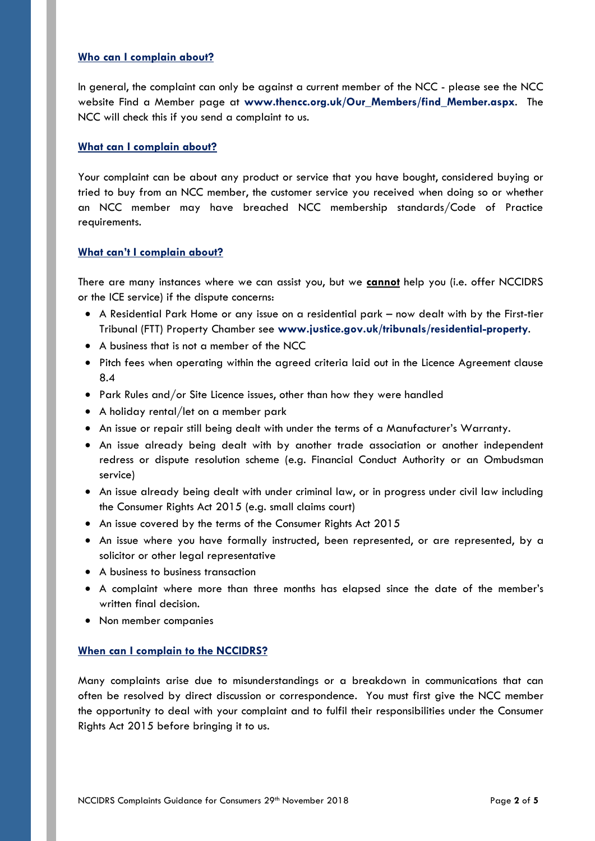#### **Who can I complain about?**

In general, the complaint can only be against a current member of the NCC - please see the NCC website Find a Member page at **[www.thencc.org.uk/Our\\_Members/find\\_Member.aspx](http://www.thencc.org.uk/Our_Members/find_Member.aspx)**. The NCC will check this if you send a complaint to us.

#### **What can I complain about?**

Your complaint can be about any product or service that you have bought, considered buying or tried to buy from an NCC member, the customer service you received when doing so or whether an NCC member may have breached NCC membership standards/Code of Practice requirements.

#### **What can't I complain about?**

There are many instances where we can assist you, but we **cannot** help you (i.e. offer NCCIDRS or the ICE service) if the dispute concerns:

- A Residential Park Home or any issue on a residential park now dealt with by the First-tier Tribunal (FTT) Property Chamber see **[www.justice.gov.uk/tribunals/residential-property](http://www.justice.gov.uk/tribunals/residential-property)**.
- A business that is not a member of the NCC
- Pitch fees when operating within the agreed criteria laid out in the Licence Agreement clause 8.4
- Park Rules and/or Site Licence issues, other than how they were handled
- A holiday rental/let on a member park
- An issue or repair still being dealt with under the terms of a Manufacturer's Warranty.
- An issue already being dealt with by another trade association or another independent redress or dispute resolution scheme (e.g. Financial Conduct Authority or an Ombudsman service)
- An issue already being dealt with under criminal law, or in progress under civil law including the Consumer Rights Act 2015 (e.g. small claims court)
- An issue covered by the terms of the Consumer Rights Act 2015
- An issue where you have formally instructed, been represented, or are represented, by a solicitor or other legal representative
- A business to business transaction
- A complaint where more than three months has elapsed since the date of the member's written final decision.
- Non member companies

#### **When can I complain to the NCCIDRS?**

Many complaints arise due to misunderstandings or a breakdown in communications that can often be resolved by direct discussion or correspondence. You must first give the NCC member the opportunity to deal with your complaint and to fulfil their responsibilities under the Consumer Rights Act 2015 before bringing it to us.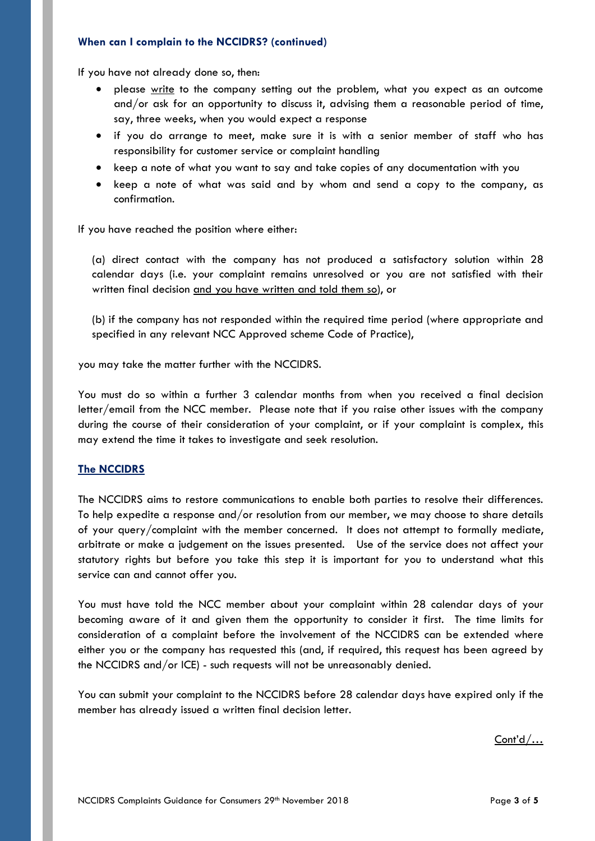#### **When can I complain to the NCCIDRS? (continued)**

If you have not already done so, then:

- please write to the company setting out the problem, what you expect as an outcome and/or ask for an opportunity to discuss it, advising them a reasonable period of time, say, three weeks, when you would expect a response
- if you do arrange to meet, make sure it is with a senior member of staff who has responsibility for customer service or complaint handling
- keep a note of what you want to say and take copies of any documentation with you
- keep a note of what was said and by whom and send a copy to the company, as confirmation.

If you have reached the position where either:

(a) direct contact with the company has not produced a satisfactory solution within 28 calendar days (i.e. your complaint remains unresolved or you are not satisfied with their written final decision and you have written and told them so), or

(b) if the company has not responded within the required time period (where appropriate and specified in any relevant NCC Approved scheme Code of Practice),

you may take the matter further with the NCCIDRS.

You must do so within a further 3 calendar months from when you received a final decision letter/email from the NCC member. Please note that if you raise other issues with the company during the course of their consideration of your complaint, or if your complaint is complex, this may extend the time it takes to investigate and seek resolution.

#### **The NCCIDRS**

The NCCIDRS aims to restore communications to enable both parties to resolve their differences. To help expedite a response and/or resolution from our member, we may choose to share details of your query/complaint with the member concerned. It does not attempt to formally mediate, arbitrate or make a judgement on the issues presented. Use of the service does not affect your statutory rights but before you take this step it is important for you to understand what this service can and cannot offer you.

You must have told the NCC member about your complaint within 28 calendar days of your becoming aware of it and given them the opportunity to consider it first. The time limits for consideration of a complaint before the involvement of the NCCIDRS can be extended where either you or the company has requested this (and, if required, this request has been agreed by the NCCIDRS and/or ICE) - such requests will not be unreasonably denied.

You can submit your complaint to the NCCIDRS before 28 calendar days have expired only if the member has already issued a written final decision letter.

Cont'd/…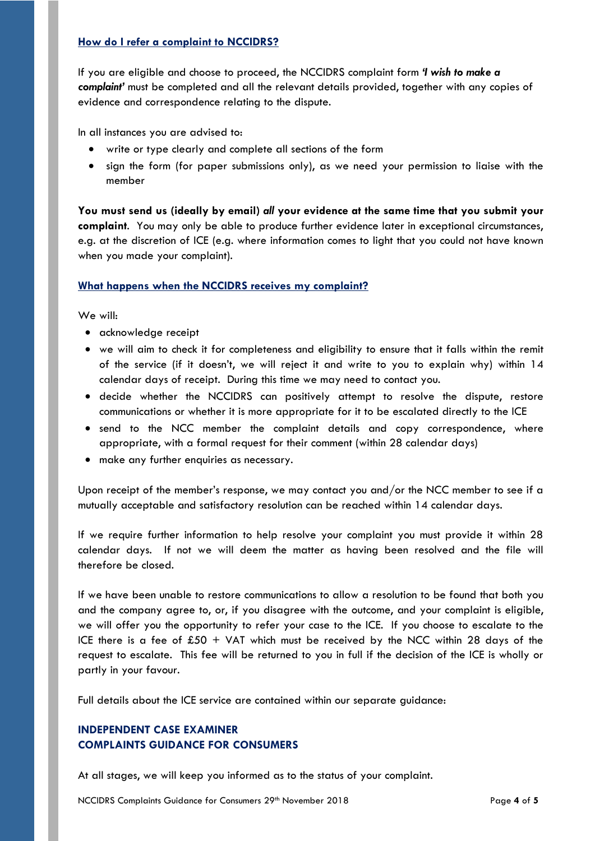### **How do I refer a complaint to NCCIDRS?**

If you are eligible and choose to proceed, the NCCIDRS complaint form *'I wish to make a complaint'* must be completed and all the relevant details provided, together with any copies of evidence and correspondence relating to the dispute.

In all instances you are advised to:

- write or type clearly and complete all sections of the form
- sign the form (for paper submissions only), as we need your permission to liaise with the member

**You must send us (ideally by email)** *all* **your evidence at the same time that you submit your complaint**. You may only be able to produce further evidence later in exceptional circumstances, e.g. at the discretion of ICE (e.g. where information comes to light that you could not have known when you made your complaint).

## **What happens when the NCCIDRS receives my complaint?**

We will:

- acknowledge receipt
- we will aim to check it for completeness and eligibility to ensure that it falls within the remit of the service (if it doesn't, we will reject it and write to you to explain why) within 14 calendar days of receipt. During this time we may need to contact you.
- decide whether the NCCIDRS can positively attempt to resolve the dispute, restore communications or whether it is more appropriate for it to be escalated directly to the ICE
- send to the NCC member the complaint details and copy correspondence, where appropriate, with a formal request for their comment (within 28 calendar days)
- make any further enquiries as necessary.

Upon receipt of the member's response, we may contact you and/or the NCC member to see if a mutually acceptable and satisfactory resolution can be reached within 14 calendar days.

If we require further information to help resolve your complaint you must provide it within 28 calendar days. If not we will deem the matter as having been resolved and the file will therefore be closed.

If we have been unable to restore communications to allow a resolution to be found that both you and the company agree to, or, if you disagree with the outcome, and your complaint is eligible, we will offer you the opportunity to refer your case to the ICE. If you choose to escalate to the ICE there is a fee of  $£50 + VA$  which must be received by the NCC within 28 days of the request to escalate. This fee will be returned to you in full if the decision of the ICE is wholly or partly in your favour.

Full details about the ICE service are contained within our separate guidance:

# **INDEPENDENT CASE EXAMINER COMPLAINTS GUIDANCE FOR CONSUMERS**

At all stages, we will keep you informed as to the status of your complaint.